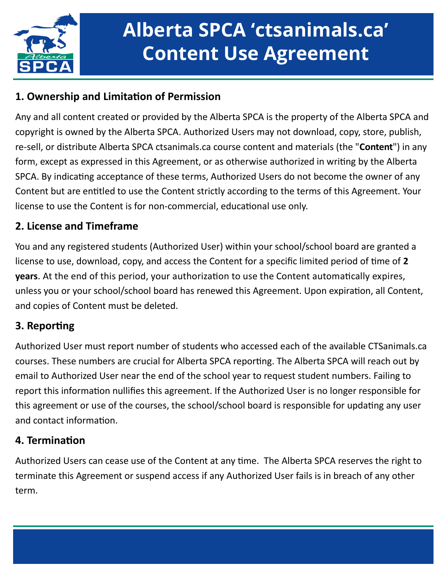

# **Alberta SPCA 'ctsanimals.ca' Content Use Agreement**

## **1. Ownership and Limitation of Permission**

Any and all content created or provided by the Alberta SPCA is the property of the Alberta SPCA and copyright is owned by the Alberta SPCA. Authorized Users may not download, copy, store, publish, re-sell, or distribute Alberta SPCA ctsanimals.ca course content and materials (the "**Content**") in any form, except as expressed in this Agreement, or as otherwise authorized in writing by the Alberta SPCA. By indicating acceptance of these terms, Authorized Users do not become the owner of any Content but are entitled to use the Content strictly according to the terms of this Agreement. Your license to use the Content is for non-commercial, educational use only.

#### **2. License and Timeframe**

You and any registered students (Authorized User) within your school/school board are granted a license to use, download, copy, and access the Content for a specific limited period of time of **2 years**. At the end of this period, your authorization to use the Content automatically expires, unless you or your school/school board has renewed this Agreement. Upon expiration, all Content, and copies of Content must be deleted.

### **3. Reporting**

Authorized User must report number of students who accessed each of the available CTSanimals.ca courses. These numbers are crucial for Alberta SPCA reporting. The Alberta SPCA will reach out by email to Authorized User near the end of the school year to request student numbers. Failing to report this information nullifies this agreement. If the Authorized User is no longer responsible for this agreement or use of the courses, the school/school board is responsible for updating any user and contact information.

#### **4. Termination**

Authorized Users can cease use of the Content at any time. The Alberta SPCA reserves the right to terminate this Agreement or suspend access if any Authorized User fails is in breach of any other term.